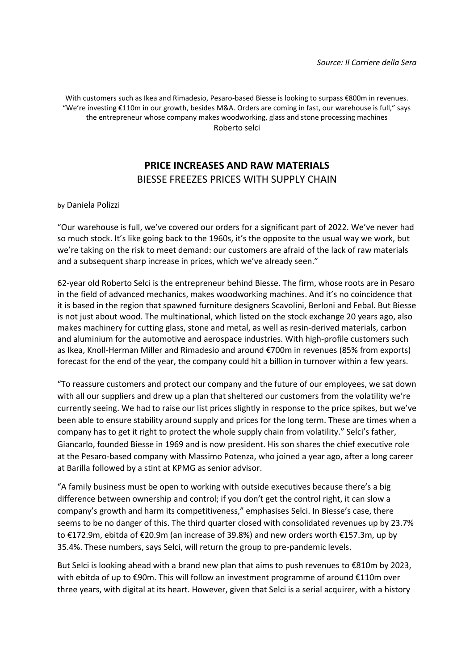With customers such as Ikea and Rimadesio, Pesaro-based Biesse is looking to surpass €800m in revenues. "We're investing €110m in our growth, besides M&A. Orders are coming in fast, our warehouse is full," says the entrepreneur whose company makes woodworking, glass and stone processing machines Roberto selci

# **PRICE INCREASES AND RAW MATERIALS** BIESSE FREEZES PRICES WITH SUPPLY CHAIN

by Daniela Polizzi

"Our warehouse is full, we've covered our orders for a significant part of 2022. We've never had so much stock. It's like going back to the 1960s, it's the opposite to the usual way we work, but we're taking on the risk to meet demand: our customers are afraid of the lack of raw materials and a subsequent sharp increase in prices, which we've already seen."

62-year old Roberto Selci is the entrepreneur behind Biesse. The firm, whose roots are in Pesaro in the field of advanced mechanics, makes woodworking machines. And it's no coincidence that it is based in the region that spawned furniture designers Scavolini, Berloni and Febal. But Biesse is not just about wood. The multinational, which listed on the stock exchange 20 years ago, also makes machinery for cutting glass, stone and metal, as well as resin-derived materials, carbon and aluminium for the automotive and aerospace industries. With high-profile customers such as Ikea, Knoll-Herman Miller and Rimadesio and around €700m in revenues (85% from exports) forecast for the end of the year, the company could hit a billion in turnover within a few years.

"To reassure customers and protect our company and the future of our employees, we sat down with all our suppliers and drew up a plan that sheltered our customers from the volatility we're currently seeing. We had to raise our list prices slightly in response to the price spikes, but we've been able to ensure stability around supply and prices for the long term. These are times when a company has to get it right to protect the whole supply chain from volatility." Selci's father, Giancarlo, founded Biesse in 1969 and is now president. His son shares the chief executive role at the Pesaro-based company with Massimo Potenza, who joined a year ago, after a long career at Barilla followed by a stint at KPMG as senior advisor.

"A family business must be open to working with outside executives because there's a big difference between ownership and control; if you don't get the control right, it can slow a company's growth and harm its competitiveness," emphasises Selci. In Biesse's case, there seems to be no danger of this. The third quarter closed with consolidated revenues up by 23.7% to €172.9m, ebitda of €20.9m (an increase of 39.8%) and new orders worth €157.3m, up by 35.4%. These numbers, says Selci, will return the group to pre-pandemic levels.

But Selci is looking ahead with a brand new plan that aims to push revenues to €810m by 2023, with ebitda of up to €90m. This will follow an investment programme of around €110m over three years, with digital at its heart. However, given that Selci is a serial acquirer, with a history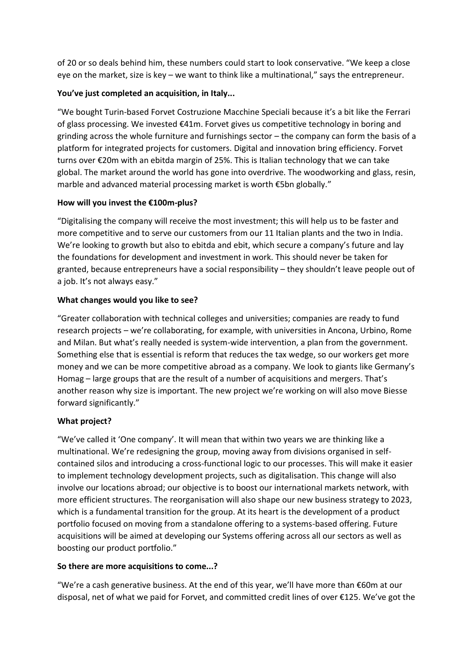of 20 or so deals behind him, these numbers could start to look conservative. "We keep a close eye on the market, size is key – we want to think like a multinational," says the entrepreneur.

### **You've just completed an acquisition, in Italy...**

"We bought Turin-based Forvet Costruzione Macchine Speciali because it's a bit like the Ferrari of glass processing. We invested €41m. Forvet gives us competitive technology in boring and grinding across the whole furniture and furnishings sector – the company can form the basis of a platform for integrated projects for customers. Digital and innovation bring efficiency. Forvet turns over €20m with an ebitda margin of 25%. This is Italian technology that we can take global. The market around the world has gone into overdrive. The woodworking and glass, resin, marble and advanced material processing market is worth €5bn globally."

### **How will you invest the €100m-plus?**

"Digitalising the company will receive the most investment; this will help us to be faster and more competitive and to serve our customers from our 11 Italian plants and the two in India. We're looking to growth but also to ebitda and ebit, which secure a company's future and lay the foundations for development and investment in work. This should never be taken for granted, because entrepreneurs have a social responsibility – they shouldn't leave people out of a job. It's not always easy."

### **What changes would you like to see?**

"Greater collaboration with technical colleges and universities; companies are ready to fund research projects – we're collaborating, for example, with universities in Ancona, Urbino, Rome and Milan. But what's really needed is system-wide intervention, a plan from the government. Something else that is essential is reform that reduces the tax wedge, so our workers get more money and we can be more competitive abroad as a company. We look to giants like Germany's Homag – large groups that are the result of a number of acquisitions and mergers. That's another reason why size is important. The new project we're working on will also move Biesse forward significantly."

## **What project?**

"We've called it 'One company'. It will mean that within two years we are thinking like a multinational. We're redesigning the group, moving away from divisions organised in selfcontained silos and introducing a cross-functional logic to our processes. This will make it easier to implement technology development projects, such as digitalisation. This change will also involve our locations abroad; our objective is to boost our international markets network, with more efficient structures. The reorganisation will also shape our new business strategy to 2023, which is a fundamental transition for the group. At its heart is the development of a product portfolio focused on moving from a standalone offering to a systems-based offering. Future acquisitions will be aimed at developing our Systems offering across all our sectors as well as boosting our product portfolio."

#### **So there are more acquisitions to come...?**

"We're a cash generative business. At the end of this year, we'll have more than €60m at our disposal, net of what we paid for Forvet, and committed credit lines of over €125. We've got the